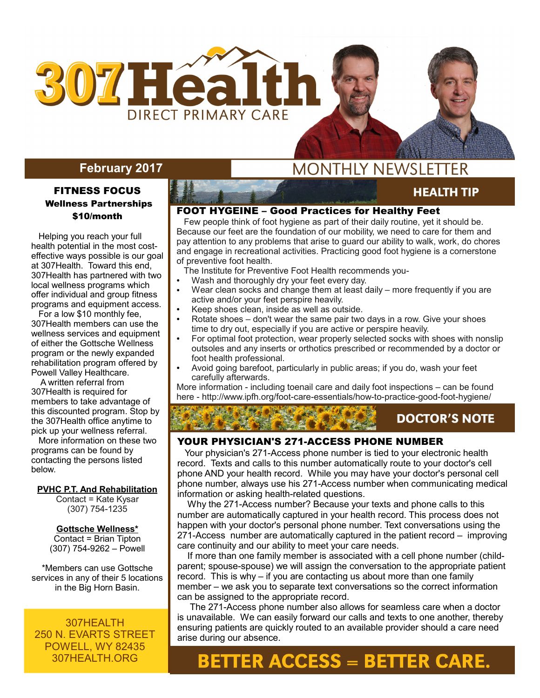

### **February 2017**

### FITNESS FOCUS Wellness Partnerships \$10/month

 Helping you reach your full health potential in the most costeffective ways possible is our goal at 307Health. Toward this end, 307Health has partnered with two local wellness programs which offer individual and group fitness programs and equipment access.

 For a low \$10 monthly fee, 307Health members can use the wellness services and equipment of either the Gottsche Wellness program or the newly expanded rehabilitation program offered by Powell Valley Healthcare.

 A written referral from 307Health is required for members to take advantage of this discounted program. Stop by the 307Health office anytime to pick up your wellness referral.

 More information on these two programs can be found by contacting the persons listed below.

**PVHC P.T. And Rehabilitation**

Contact = Kate Kysar (307) 754-1235

### **Gottsche Wellness\***

Contact = Brian Tipton (307) 754-9262 – Powell

\*Members can use Gottsche services in any of their 5 locations in the Big Horn Basin.

### 307HEALTH 250 N. EVARTS STREET POWELL, WY 82435 307HEALTH.ORG

# **MONTHLY NEWSLETTER**

# **HEALTH TIP**

**AUGUST 2015** 

### FOOT HYGEINE – Good Practices for Healthy Feet

 Few people think of foot hygiene as part of their daily routine, yet it should be. Because our feet are the foundation of our mobility, we need to care for them and pay attention to any problems that arise to guard our ability to walk, work, do chores and engage in recreational activities. Practicing good foot hygiene is a cornerstone of preventive foot health.

The Institute for Preventive Foot Health recommends you-

- Wash and thoroughly dry your feet every day.
- Wear clean socks and change them at least daily more frequently if you are active and/or your feet perspire heavily.
- Keep shoes clean, inside as well as outside.

☆☆☆☆☆☆☆☆

- Rotate shoes don't wear the same pair two days in a row. Give your shoes time to dry out, especially if you are active or perspire heavily.
- For optimal foot protection, wear properly selected socks with shoes with nonslip outsoles and any inserts or orthotics prescribed or recommended by a doctor or foot health professional.
- Avoid going barefoot, particularly in public areas; if you do, wash your feet carefully afterwards.

More information - including toenail care and daily foot inspections – can be found here -<http://www.ipfh.org/foot-care-essentials/how-to-practice-good-foot-hygiene/>

あい 人の

## **DOCTOR'S NOTE**

### YOUR PHYSICIAN'S 271-ACCESS PHONE NUMBER

 Your physician's 271-Access phone number is tied to your electronic health record. Texts and calls to this number automatically route to your doctor's cell phone AND your health record. While you may have your doctor's personal cell phone number, always use his 271-Access number when communicating medical information or asking health-related questions.

 Why the 271-Access number? Because your texts and phone calls to this number are automatically captured in your health record. This process does not happen with your doctor's personal phone number. Text conversations using the 271-Access number are automatically captured in the patient record – improving care continuity and our ability to meet your care needs.

 If more than one family member is associated with a cell phone number (childparent; spouse-spouse) we will assign the conversation to the appropriate patient record. This is why – if you are contacting us about more than one family member – we ask you to separate text conversations so the correct information can be assigned to the appropriate record.

 The 271-Access phone number also allows for seamless care when a doctor is unavailable. We can easily forward our calls and texts to one another, thereby ensuring patients are quickly routed to an available provider should a care need arise during our absence.

# **BETTER ACCESS = BETTER CARE.**